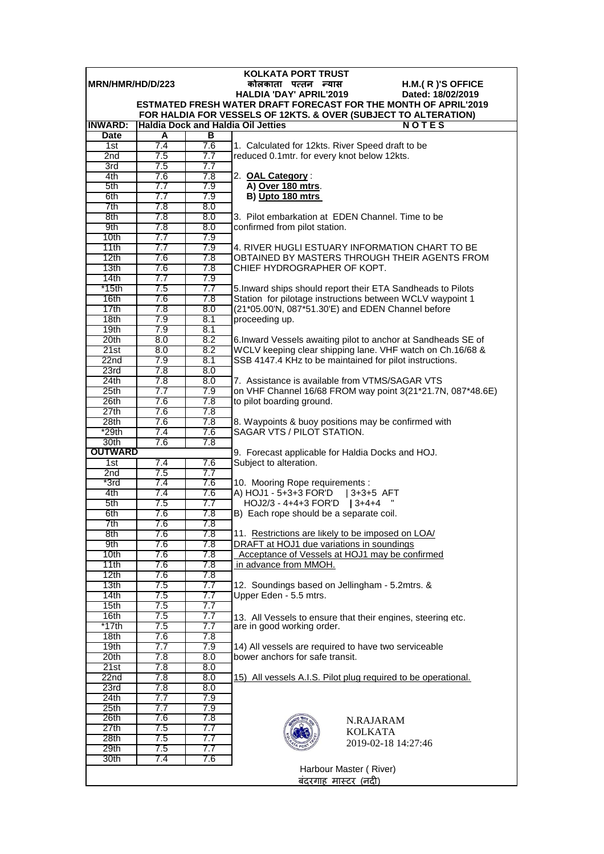| <b>KOLKATA PORT TRUST</b>                                   |            |            |                                                                                                                        |  |  |
|-------------------------------------------------------------|------------|------------|------------------------------------------------------------------------------------------------------------------------|--|--|
| MRN/HMR/HD/D/223<br>कोलकाता पत्तन न्यास<br>H.M.(R)'S OFFICE |            |            |                                                                                                                        |  |  |
|                                                             |            |            | <b>HALDIA 'DAY' APRIL'2019</b><br>Dated: 18/02/2019<br>ESTMATED FRESH WATER DRAFT FORECAST FOR THE MONTH OF APRIL'2019 |  |  |
|                                                             |            |            | FOR HALDIA FOR VESSELS OF 12KTS. & OVER (SUBJECT TO ALTERATION)                                                        |  |  |
| <b>INWARD:</b>                                              |            |            | <b>Haldia Dock and Haldia Oil Jetties</b><br>NOTES                                                                     |  |  |
| <b>Date</b>                                                 | A          | в          |                                                                                                                        |  |  |
| 1st                                                         | 7.4        | 7.6        | 1. Calculated for 12kts. River Speed draft to be                                                                       |  |  |
| 2 <sub>nd</sub>                                             | 7.5        | 7.7        | reduced 0.1mtr. for every knot below 12kts.                                                                            |  |  |
| 3rd                                                         | 7.5        | 7.7        |                                                                                                                        |  |  |
| 4th                                                         | 7.6        | 7.8        | 2. OAL Category:                                                                                                       |  |  |
| 5th                                                         | 7.7        | 7.9        | A) Over 180 mtrs.                                                                                                      |  |  |
| 6th                                                         | 7.7        | 7.9        | B) Upto 180 mtrs                                                                                                       |  |  |
| 7th                                                         | 7.8        | 8.0        |                                                                                                                        |  |  |
| 8th                                                         | 7.8        | 8.0        | 3. Pilot embarkation at EDEN Channel. Time to be                                                                       |  |  |
| 9th                                                         | 7.8        | 8.0        | confirmed from pilot station.                                                                                          |  |  |
| 10th<br>11th                                                | 7.7<br>7.7 | 7.9<br>7.9 | 4. RIVER HUGLI ESTUARY INFORMATION CHART TO BE                                                                         |  |  |
| 12th                                                        | 7.6        | 7.8        | OBTAINED BY MASTERS THROUGH THEIR AGENTS FROM                                                                          |  |  |
| 13 <sub>th</sub>                                            | 7.6        | 7.8        | CHIEF HYDROGRAPHER OF KOPT.                                                                                            |  |  |
| 14th                                                        | 7.7        | 7.9        |                                                                                                                        |  |  |
| *15th                                                       | 7.5        | 7.7        | 5. Inward ships should report their ETA Sandheads to Pilots                                                            |  |  |
| 16th                                                        | 7.6        | 7.8        | Station for pilotage instructions between WCLV waypoint 1                                                              |  |  |
| 17th                                                        | 7.8        | 8.0        | (21*05.00'N, 087*51.30'E) and EDEN Channel before                                                                      |  |  |
| 18th                                                        | 7.9        | 8.1        | proceeding up.                                                                                                         |  |  |
| 19 <sub>th</sub>                                            | 7.9        | 8.1        |                                                                                                                        |  |  |
| 20th                                                        | 8.0        | 8.2        | 6. Inward Vessels awaiting pilot to anchor at Sandheads SE of                                                          |  |  |
| 21st                                                        | 8.0        | 8.2        | WCLV keeping clear shipping lane. VHF watch on Ch.16/68 &                                                              |  |  |
| 22n <sub>d</sub><br>23rd                                    | 7.9<br>7.8 | 8.1<br>8.0 | SSB 4147.4 KHz to be maintained for pilot instructions.                                                                |  |  |
| 24th                                                        | 7.8        | 8.0        | 7. Assistance is available from VTMS/SAGAR VTS                                                                         |  |  |
| 25 <sub>th</sub>                                            | 7.7        | 7.9        | on VHF Channel 16/68 FROM way point 3(21*21.7N, 087*48.6E)                                                             |  |  |
| 26th                                                        | 7.6        | 7.8        | to pilot boarding ground.                                                                                              |  |  |
| 27th                                                        | 7.6        | 7.8        |                                                                                                                        |  |  |
| 28th                                                        | 7.6        | 7.8        | 8. Waypoints & buoy positions may be confirmed with                                                                    |  |  |
| *29th                                                       | 7.4        | 7.6        | SAGAR VTS / PILOT STATION.                                                                                             |  |  |
| 30th                                                        | 7.6        | 7.8        |                                                                                                                        |  |  |
| <b>OUTWARD</b>                                              |            |            | 9. Forecast applicable for Haldia Docks and HOJ.                                                                       |  |  |
| 1st<br>2 <sub>nd</sub>                                      | 7.4<br>7.5 | 7.6<br>7.7 | Subject to alteration.                                                                                                 |  |  |
| $*3rd$                                                      | 7.4        | 7.6        | 10. Mooring Rope requirements :                                                                                        |  |  |
| 4th                                                         | 7.4        | 7.6        | A) HOJ1 - 5+3+3 FOR'D   3+3+5 AFT                                                                                      |  |  |
| 5th                                                         | 7.5        | 7.7        | HOJ2/3 - 4+4+3 FOR'D   3+4+4                                                                                           |  |  |
| 6th                                                         | 7.6        | 7.8        | B) Each rope should be a separate coil.                                                                                |  |  |
| 7th                                                         | 7.6        | 7.8        |                                                                                                                        |  |  |
| 8th                                                         | 7.6        | 7.8        | 11. Restrictions are likely to be imposed on LOA/                                                                      |  |  |
| 9th                                                         | 7.6        | 7.8        | DRAFT at HOJ1 due variations in soundings                                                                              |  |  |
| 10 <sub>th</sub>                                            | 7.6        | 7.8        | Acceptance of Vessels at HOJ1 may be confirmed                                                                         |  |  |
| 11th<br>12 <sub>th</sub>                                    | 7.6<br>7.6 | 7.8<br>7.8 | in advance from MMOH.                                                                                                  |  |  |
| 13th                                                        | 7.5        | 7.7        | 12. Soundings based on Jellingham - 5.2mtrs. &                                                                         |  |  |
| 14th                                                        | 7.5        | 7.7        | Upper Eden - 5.5 mtrs.                                                                                                 |  |  |
| 15 <sub>th</sub>                                            | 7.5        | 7.7        |                                                                                                                        |  |  |
| 16th                                                        | 7.5        | 7.7        | 13. All Vessels to ensure that their engines, steering etc.                                                            |  |  |
| *17th                                                       | 7.5        | 7.7        | are in good working order.                                                                                             |  |  |
| 18 <sub>th</sub>                                            | 7.6        | 7.8        |                                                                                                                        |  |  |
| 19th                                                        | 7.7        | 7.9        | 14) All vessels are required to have two serviceable                                                                   |  |  |
| 20th                                                        | 7.8        | 8.0        | bower anchors for safe transit.                                                                                        |  |  |
| 21st                                                        | 7.8        | 8.0        |                                                                                                                        |  |  |
| 22n <sub>d</sub><br>23rd                                    | 7.8<br>7.8 | 8.0<br>8.0 | 15) All vessels A.I.S. Pilot plug required to be operational.                                                          |  |  |
| 24th                                                        | 7.7        | 7.9        |                                                                                                                        |  |  |
| 25th                                                        | 7.7        | 7.9        |                                                                                                                        |  |  |
| 26th                                                        | 7.6        | 7.8        | N.RAJARAM                                                                                                              |  |  |
| 27th                                                        | 7.5        | 7.7        | <b>KOLKATA</b>                                                                                                         |  |  |
| 28th                                                        | 7.5        | 7.7        | 2019-02-18 14:27:46                                                                                                    |  |  |
| 29th                                                        | 7.5        | 7.7        |                                                                                                                        |  |  |
| 30th                                                        | 7.4        | 7.6        |                                                                                                                        |  |  |
|                                                             |            |            | Harbour Master (River)                                                                                                 |  |  |
|                                                             |            |            | <u>बंदरगाह मास्टर (नदी)</u>                                                                                            |  |  |